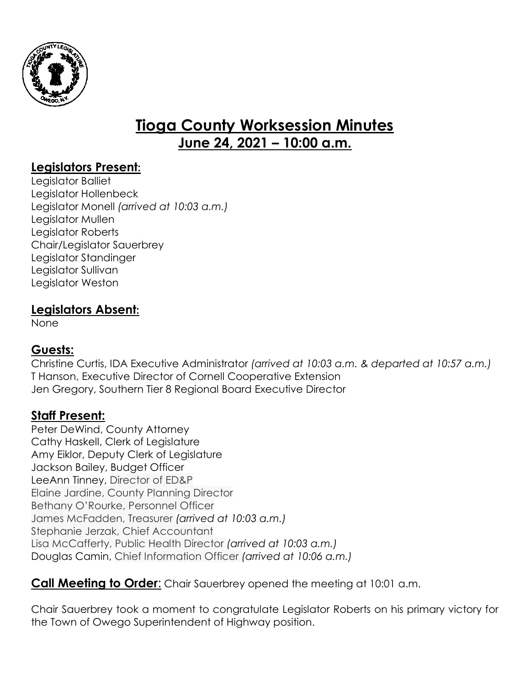

# **Tioga County Worksession Minutes June 24, 2021 – 10:00 a.m.**

## **Legislators Present:**

Legislator Balliet Legislator Hollenbeck Legislator Monell *(arrived at 10:03 a.m.)* Legislator Mullen Legislator Roberts Chair/Legislator Sauerbrey Legislator Standinger Legislator Sullivan Legislator Weston

#### **Legislators Absent:**

None

### **Guests:**

Christine Curtis, IDA Executive Administrator *(arrived at 10:03 a.m. & departed at 10:57 a.m.)* T Hanson, Executive Director of Cornell Cooperative Extension Jen Gregory, Southern Tier 8 Regional Board Executive Director

### **Staff Present:**

Peter DeWind, County Attorney Cathy Haskell, Clerk of Legislature Amy Eiklor, Deputy Clerk of Legislature Jackson Bailey, Budget Officer LeeAnn Tinney, Director of ED&P Elaine Jardine, County Planning Director Bethany O'Rourke, Personnel Officer James McFadden, Treasurer *(arrived at 10:03 a.m.)* Stephanie Jerzak, Chief Accountant Lisa McCafferty, Public Health Director *(arrived at 10:03 a.m.)* Douglas Camin, Chief Information Officer *(arrived at 10:06 a.m.)*

**Call Meeting to Order**: Chair Sauerbrey opened the meeting at 10:01 a.m.

Chair Sauerbrey took a moment to congratulate Legislator Roberts on his primary victory for the Town of Owego Superintendent of Highway position.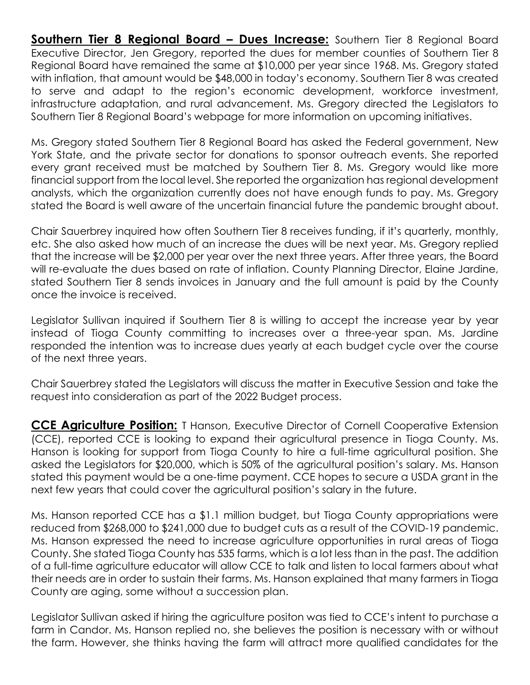**Southern Tier 8 Regional Board - Dues Increase:** Southern Tier 8 Regional Board Executive Director, Jen Gregory, reported the dues for member counties of Southern Tier 8 Regional Board have remained the same at \$10,000 per year since 1968. Ms. Gregory stated with inflation, that amount would be \$48,000 in today's economy. Southern Tier 8 was created to serve and adapt to the region's economic development, workforce investment, infrastructure adaptation, and rural advancement. Ms. Gregory directed the Legislators to Southern Tier 8 Regional Board's webpage for more information on upcoming initiatives.

Ms. Gregory stated Southern Tier 8 Regional Board has asked the Federal government, New York State, and the private sector for donations to sponsor outreach events. She reported every grant received must be matched by Southern Tier 8. Ms. Gregory would like more financial support from the local level. She reported the organization has regional development analysts, which the organization currently does not have enough funds to pay. Ms. Gregory stated the Board is well aware of the uncertain financial future the pandemic brought about.

Chair Sauerbrey inquired how often Southern Tier 8 receives funding, if it's quarterly, monthly, etc. She also asked how much of an increase the dues will be next year. Ms. Gregory replied that the increase will be \$2,000 per year over the next three years. After three years, the Board will re-evaluate the dues based on rate of inflation. County Planning Director, Elaine Jardine, stated Southern Tier 8 sends invoices in January and the full amount is paid by the County once the invoice is received.

Legislator Sullivan inquired if Southern Tier 8 is willing to accept the increase year by year instead of Tioga County committing to increases over a three-year span. Ms. Jardine responded the intention was to increase dues yearly at each budget cycle over the course of the next three years.

Chair Sauerbrey stated the Legislators will discuss the matter in Executive Session and take the request into consideration as part of the 2022 Budget process.

**CCE Agriculture Position:** T Hanson, Executive Director of Cornell Cooperative Extension (CCE), reported CCE is looking to expand their agricultural presence in Tioga County. Ms. Hanson is looking for support from Tioga County to hire a full-time agricultural position. She asked the Legislators for \$20,000, which is 50% of the agricultural position's salary. Ms. Hanson stated this payment would be a one-time payment. CCE hopes to secure a USDA grant in the next few years that could cover the agricultural position's salary in the future.

Ms. Hanson reported CCE has a \$1.1 million budget, but Tioga County appropriations were reduced from \$268,000 to \$241,000 due to budget cuts as a result of the COVID-19 pandemic. Ms. Hanson expressed the need to increase agriculture opportunities in rural areas of Tioga County. She stated Tioga County has 535 farms, which is a lot less than in the past. The addition of a full-time agriculture educator will allow CCE to talk and listen to local farmers about what their needs are in order to sustain their farms. Ms. Hanson explained that many farmers in Tioga County are aging, some without a succession plan.

Legislator Sullivan asked if hiring the agriculture positon was tied to CCE's intent to purchase a farm in Candor. Ms. Hanson replied no, she believes the position is necessary with or without the farm. However, she thinks having the farm will attract more qualified candidates for the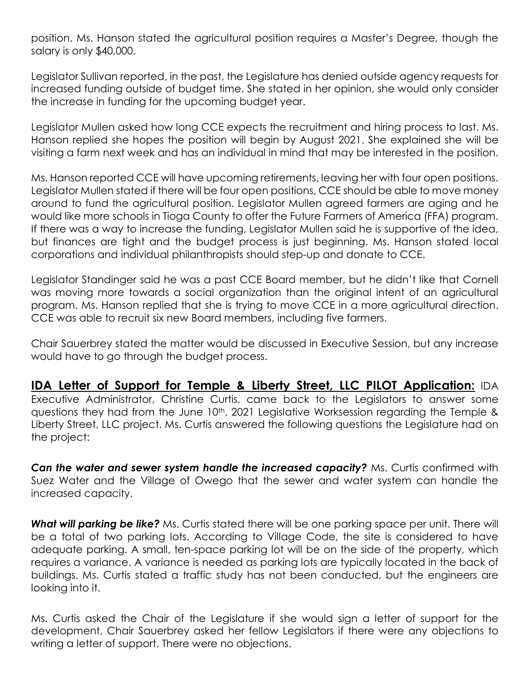position. Ms. Hanson stated the agricultural position requires a Master's Degree, though the salary is only \$40,000.

Legislator Sullivan reported, in the past, the Legislature has denied outside agency requests for increased funding outside of budget time. She stated in her opinion, she would only consider the increase in funding for the upcoming budget year.

Legislator Mullen asked how long CCE expects the recruitment and hiring process to last. Ms. Hanson replied she hopes the position will begin by August 2021. She explained she will be visiting a farm next week and has an individual in mind that may be interested in the position.

Ms. Hanson reported CCE will have upcoming retirements, leaving her with four open positions. Legislator Mullen stated if there will be four open positions, CCE should be able to move money around to fund the agricultural position. Legislator Mullen agreed farmers are aging and he would like more schools in Tioga County to offer the Future Farmers of America (FFA) program. If there was a way to increase the funding, Legislator Mullen said he is supportive of the idea, but finances are tight and the budget process is just beginning. Ms. Hanson stated local corporations and individual philanthropists should step-up and donate to CCE.

Legislator Standinger said he was a past CCE Board member, but he didn't like that Cornell was moving more towards a social organization than the original intent of an agricultural program. Ms. Hanson replied that she is trying to move CCE in a more agricultural direction. CCE was able to recruit six new Board members, including five farmers.

Chair Sauerbrey stated the matter would be discussed in Executive Session, but any increase would have to go through the budget process.

**IDA Letter of Support for Temple & Liberty Street, LLC PILOT Application:** IDA Executive Administrator, Christine Curtis, came back to the Legislators to answer some questions they had from the June 10<sup>th</sup>, 2021 Legislative Worksession regarding the Temple & Liberty Street, LLC project. Ms. Curtis answered the following questions the Legislature had on the project:

*Can the water and sewer system handle the increased capacity?* Ms. Curtis confirmed with Suez Water and the Village of Owego that the sewer and water system can handle the increased capacity.

**What will parking be like?** Ms. Curtis stated there will be one parking space per unit. There will be a total of two parking lots. According to Village Code, the site is considered to have adequate parking. A small, ten-space parking lot will be on the side of the property, which requires a variance. A variance is needed as parking lots are typically located in the back of buildings. Ms. Curtis stated a traffic study has not been conducted, but the engineers are looking into it.

Ms. Curtis asked the Chair of the Legislature if she would sign a letter of support for the development. Chair Sauerbrey asked her fellow Legislators if there were any objections to writing a letter of support. There were no objections.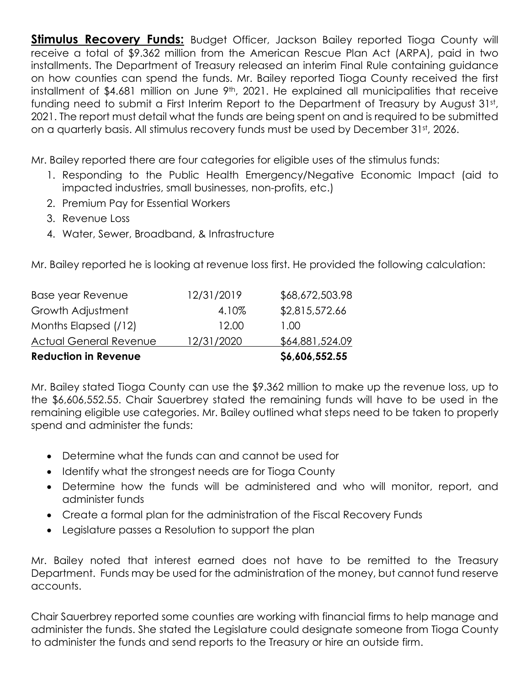**Stimulus Recovery Funds:** Budget Officer, Jackson Bailey reported Tioga County will receive a total of \$9.362 million from the American Rescue Plan Act (ARPA), paid in two installments. The Department of Treasury released an interim Final Rule containing guidance on how counties can spend the funds. Mr. Bailey reported Tioga County received the first installment of \$4.681 million on June 9<sup>th</sup>, 2021. He explained all municipalities that receive funding need to submit a First Interim Report to the Department of Treasury by August 31st, 2021. The report must detail what the funds are being spent on and is required to be submitted on a quarterly basis. All stimulus recovery funds must be used by December 31st, 2026.

Mr. Bailey reported there are four categories for eligible uses of the stimulus funds:

- 1. Responding to the Public Health Emergency/Negative Economic Impact (aid to impacted industries, small businesses, non-profits, etc.)
- 2. Premium Pay for Essential Workers
- 3. Revenue Loss
- 4. Water, Sewer, Broadband, & Infrastructure

Mr. Bailey reported he is looking at revenue loss first. He provided the following calculation:

| <b>Reduction in Revenue</b>   |            | \$6,606,552.55  |
|-------------------------------|------------|-----------------|
| <b>Actual General Revenue</b> | 12/31/2020 | \$64,881,524.09 |
| Months Elapsed (/12)          | 12.00      | 1.00            |
| Growth Adjustment             | 4.10%      | \$2,815,572.66  |
| Base year Revenue             | 12/31/2019 | \$68,672,503.98 |

Mr. Bailey stated Tioga County can use the \$9.362 million to make up the revenue loss, up to the \$6,606,552.55. Chair Sauerbrey stated the remaining funds will have to be used in the remaining eligible use categories. Mr. Bailey outlined what steps need to be taken to properly spend and administer the funds:

- Determine what the funds can and cannot be used for
- Identify what the strongest needs are for Tioga County
- Determine how the funds will be administered and who will monitor, report, and administer funds
- Create a formal plan for the administration of the Fiscal Recovery Funds
- Legislature passes a Resolution to support the plan

Mr. Bailey noted that interest earned does not have to be remitted to the Treasury Department. Funds may be used for the administration of the money, but cannot fund reserve accounts.

Chair Sauerbrey reported some counties are working with financial firms to help manage and administer the funds. She stated the Legislature could designate someone from Tioga County to administer the funds and send reports to the Treasury or hire an outside firm.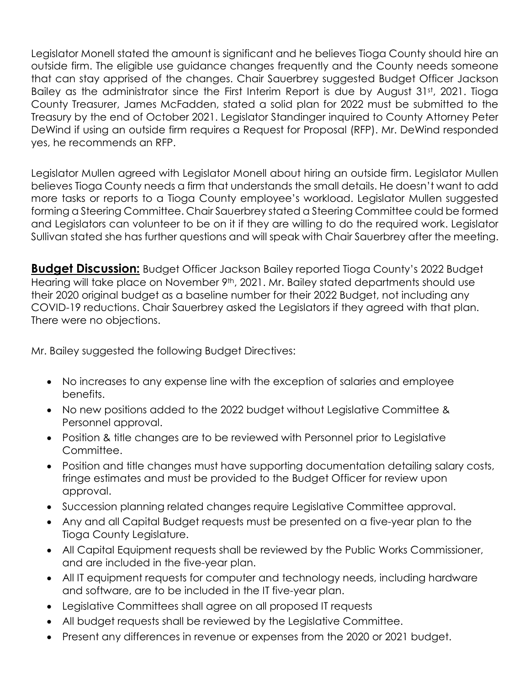Legislator Monell stated the amount is significant and he believes Tioga County should hire an outside firm. The eligible use guidance changes frequently and the County needs someone that can stay apprised of the changes. Chair Sauerbrey suggested Budget Officer Jackson Bailey as the administrator since the First Interim Report is due by August 31st, 2021. Tioga County Treasurer, James McFadden, stated a solid plan for 2022 must be submitted to the Treasury by the end of October 2021. Legislator Standinger inquired to County Attorney Peter DeWind if using an outside firm requires a Request for Proposal (RFP). Mr. DeWind responded yes, he recommends an RFP.

Legislator Mullen agreed with Legislator Monell about hiring an outside firm. Legislator Mullen believes Tioga County needs a firm that understands the small details. He doesn't want to add more tasks or reports to a Tioga County employee's workload. Legislator Mullen suggested forming a Steering Committee. Chair Sauerbrey stated a Steering Committee could be formed and Legislators can volunteer to be on it if they are willing to do the required work. Legislator Sullivan stated she has further questions and will speak with Chair Sauerbrey after the meeting.

**Budget Discussion:** Budget Officer Jackson Bailey reported Tioga County's 2022 Budget Hearing will take place on November 9<sup>th</sup>, 2021. Mr. Bailey stated departments should use their 2020 original budget as a baseline number for their 2022 Budget, not including any COVID-19 reductions. Chair Sauerbrey asked the Legislators if they agreed with that plan. There were no objections.

Mr. Bailey suggested the following Budget Directives:

- No increases to any expense line with the exception of salaries and employee benefits.
- No new positions added to the 2022 budget without Legislative Committee & Personnel approval.
- Position & title changes are to be reviewed with Personnel prior to Legislative Committee.
- Position and title changes must have supporting documentation detailing salary costs, fringe estimates and must be provided to the Budget Officer for review upon approval.
- Succession planning related changes require Legislative Committee approval.
- Any and all Capital Budget requests must be presented on a five-year plan to the Tioga County Legislature.
- All Capital Equipment requests shall be reviewed by the Public Works Commissioner, and are included in the five-year plan.
- All IT equipment requests for computer and technology needs, including hardware and software, are to be included in the IT five-year plan.
- Legislative Committees shall agree on all proposed IT requests
- All budget requests shall be reviewed by the Legislative Committee.
- Present any differences in revenue or expenses from the 2020 or 2021 budget.